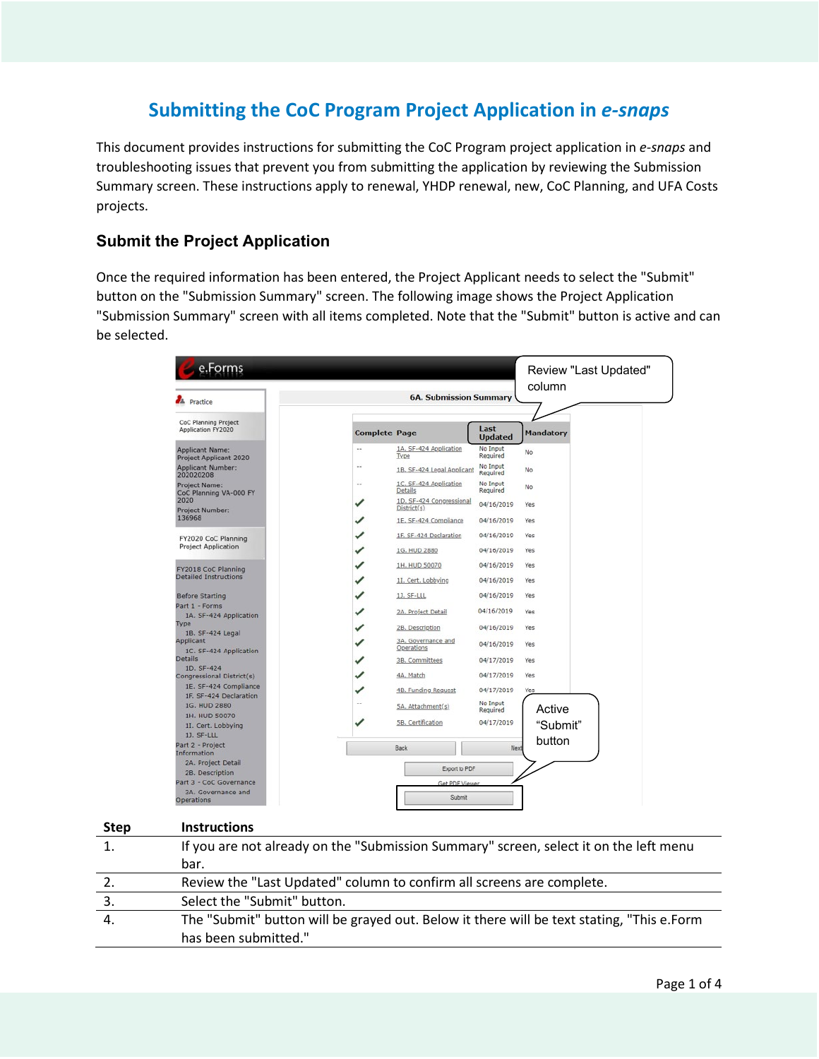# **Submitting the CoC Program Project Application in** *e-snaps*

This document provides instructions for submitting the CoC Program project application in *e-snaps* and troubleshooting issues that prevent you from submitting the application by reviewing the Submission Summary screen. These instructions apply to renewal, YHDP renewal, new, CoC Planning, and UFA Costs projects.

## **Submit the Project Application**

Once the required information has been entered, the Project Applicant needs to select the "Submit" button on the "Submission Summary" screen. The following image shows the Project Application "Submission Summary" screen with all items completed. Note that the "Submit" button is active and can be selected.

| e.Forms<br>л.<br>Practice                                   |                      | <b>6A. Submission Summary</b>           | Review "Last Updated"<br>column |                  |  |  |
|-------------------------------------------------------------|----------------------|-----------------------------------------|---------------------------------|------------------|--|--|
|                                                             |                      |                                         |                                 |                  |  |  |
| CoC Planning Project<br>Application FY2020                  | <b>Complete Page</b> |                                         | Last<br><b>Updated</b>          | <b>Mandatory</b> |  |  |
| <b>Applicant Name:</b><br><b>Project Applicant 2020</b>     |                      | 1A. SF-424 Application<br>Type          | No Input<br>Required            | No               |  |  |
| <b>Applicant Number:</b><br>202020208                       |                      | 1B. SF-424 Legal Applicant              | No Input<br>Required            | No               |  |  |
| Project Name:<br>CoC Planning VA-000 FY                     | $\sim$               | 1C. SF-424 Application<br>Details       | No Input<br>Required            | No               |  |  |
| 2020<br>Project Number:                                     | ✓                    | 1D. SF-424 Congressional<br>District(s) | 04/16/2019                      | Yes              |  |  |
| 136968                                                      |                      | 1E. SF-424 Compliance                   | 04/16/2019                      | Yes              |  |  |
| FY2020 CoC Planning                                         |                      | 1F. SF-424 Declaration                  | 04/16/2019                      | Yes.             |  |  |
| <b>Project Application</b>                                  | ✓                    | 1G. HUD 2880                            | 04/16/2019                      | Yes              |  |  |
| FY2018 CoC Planning                                         | ✓                    | 1H. HUD 50070                           | 04/16/2019                      | Yes              |  |  |
| <b>Detailed Instructions</b>                                |                      | 11. Cert. Lobbying                      | 04/16/2019                      | Yes              |  |  |
| <b>Before Starting</b>                                      |                      | 1J. SF-LLL                              | 04/16/2019                      | Yes              |  |  |
| Part 1 - Forms<br>1A. SF-424 Application                    | ✓                    | 2A. Project Detail                      | 04/16/2019                      | Yes              |  |  |
| Type<br>1B. SF-424 Legal                                    |                      | 2B. Description                         | 04/16/2019                      | Yes.             |  |  |
| Applicant                                                   |                      | 3A. Governance and<br>Operations        | 04/16/2019                      | Yes              |  |  |
| 1C. SF-424 Application<br><b>Details</b>                    | ✓                    | 3B. Committees                          | 04/17/2019                      | Yes              |  |  |
| 1D. SF-424<br>Congressional District(s)                     | ✓                    | 4A, Match                               | 04/17/2019                      | Yes              |  |  |
| 1E. SF-424 Compliance<br>1F. SF-424 Declaration             | ✓                    | 4B. Funding Request                     | 04/17/2019                      | Yes              |  |  |
| 1G. HUD 2880                                                | $\sim$               | 5A. Attachment(s)                       | No Input<br>Required            | Active           |  |  |
| 1H. HUD 50070                                               | ✓                    | 5B. Certification                       | 04/17/2019                      |                  |  |  |
| 11. Cert. Lobbying<br>1J. SF-LLL                            |                      |                                         |                                 | "Submit"         |  |  |
| Part 2 - Project<br>Information                             |                      | Back                                    | Next                            | button           |  |  |
| 2A. Project Detail                                          |                      | Export to PDF                           |                                 |                  |  |  |
| 2B. Description                                             |                      |                                         |                                 |                  |  |  |
| Part 3 - CoC Governance<br>3A. Governance and<br>Operations |                      | Get PDE L<br>Submit                     |                                 |                  |  |  |

| <b>Step</b> | <b>Instructions</b>                                                                       |
|-------------|-------------------------------------------------------------------------------------------|
|             | If you are not already on the "Submission Summary" screen, select it on the left menu     |
|             | bar.                                                                                      |
|             | Review the "Last Updated" column to confirm all screens are complete.                     |
|             | Select the "Submit" button.                                                               |
| 4.          | The "Submit" button will be grayed out. Below it there will be text stating, "This e.Form |
|             | has been submitted."                                                                      |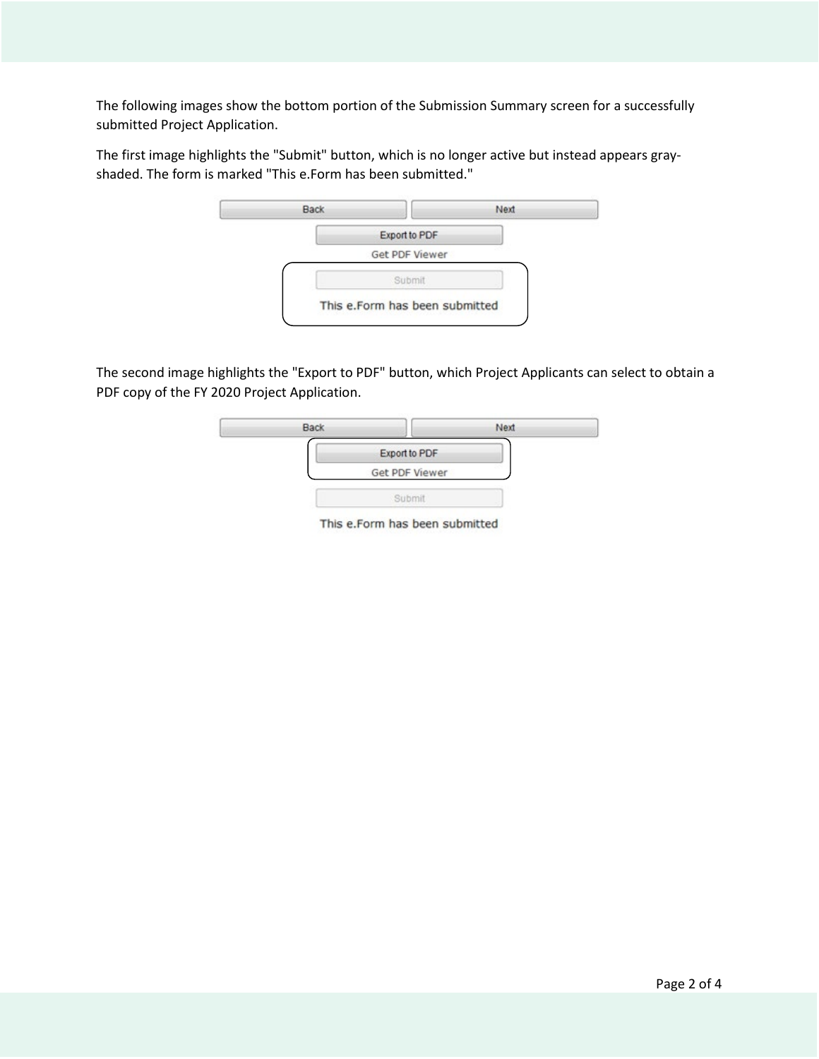The following images show the bottom portion of the Submission Summary screen for a successfully submitted Project Application.

The first image highlights the "Submit" button, which is no longer active but instead appears grayshaded. The form is marked "This e.Form has been submitted."



The second image highlights the "Export to PDF" button, which Project Applicants can select to obtain a PDF copy of the FY 2020 Project Application.



This e.Form has been submitted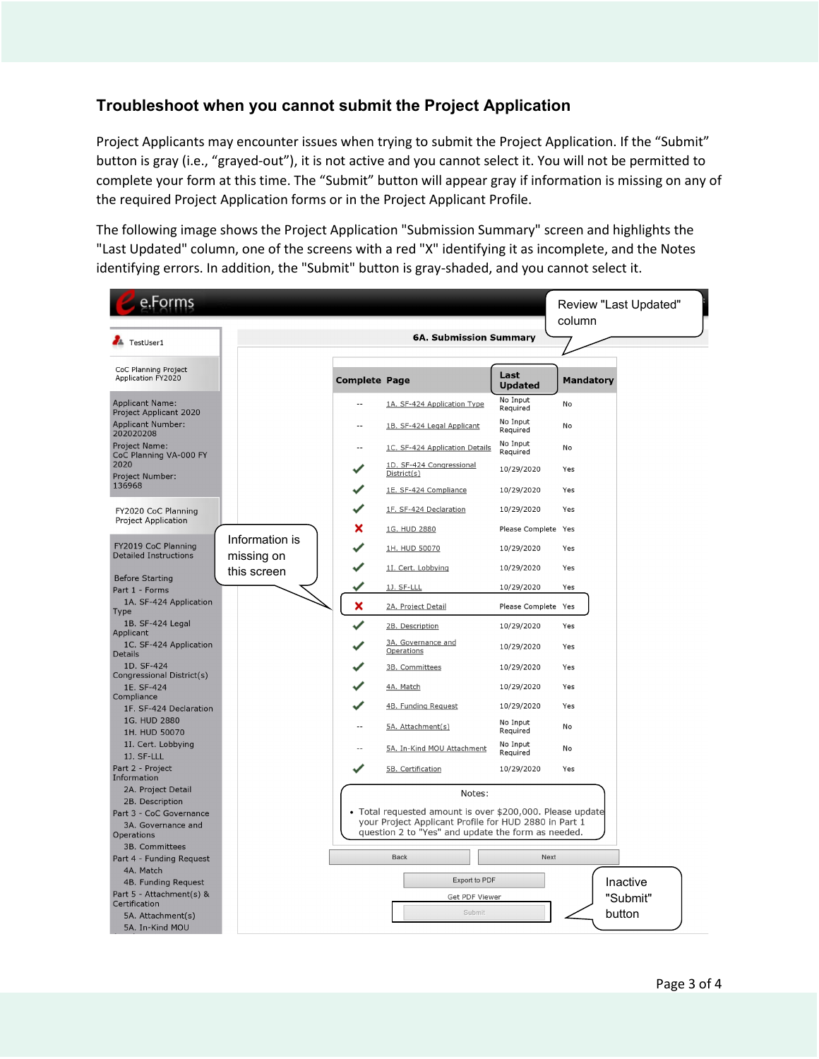## **Troubleshoot when you cannot submit the Project Application**

Project Applicants may encounter issues when trying to submit the Project Application. If the "Submit" button is gray (i.e., "grayed-out"), it is not active and you cannot select it. You will not be permitted to complete your form at this time. The "Submit" button will appear gray if information is missing on any of the required Project Application forms or in the Project Applicant Profile.

The following image shows the Project Application "Submission Summary" screen and highlights the "Last Updated" column, one of the screens with a red "X" identifying it as incomplete, and the Notes identifying errors. In addition, the "Submit" button is gray-shaded, and you cannot select it.

| e.Forms                                           |                                                                                                                                                                          |                           |                                                 |                                   | Review "Last Updated"<br>column |          |  |
|---------------------------------------------------|--------------------------------------------------------------------------------------------------------------------------------------------------------------------------|---------------------------|-------------------------------------------------|-----------------------------------|---------------------------------|----------|--|
|                                                   |                                                                                                                                                                          |                           | <b>6A. Submission Summary</b>                   |                                   |                                 |          |  |
| <b>A</b> TestUser1                                |                                                                                                                                                                          |                           |                                                 |                                   |                                 |          |  |
| CoC Planning Project<br>Application FY2020        |                                                                                                                                                                          | <b>Complete Page</b>      |                                                 | Last<br><b>Updated</b>            | <b>Mandatory</b>                |          |  |
| <b>Applicant Name:</b><br>Project Applicant 2020  |                                                                                                                                                                          |                           | 1A. SF-424 Application Type                     | No Input<br>Required              | No                              |          |  |
| <b>Applicant Number:</b><br>202020208             |                                                                                                                                                                          |                           | 1B. SF-424 Legal Applicant                      | No Input<br>Required              | No                              |          |  |
| Project Name:<br>CoC Planning VA-000 FY           |                                                                                                                                                                          |                           | 1C. SF-424 Application Details                  | No Input<br>Required              | No                              |          |  |
| 2020<br>Project Number:                           |                                                                                                                                                                          |                           | 1D. SF-424 Congressional<br>District(s)         | 10/29/2020                        | Yes                             |          |  |
| 136968                                            |                                                                                                                                                                          |                           | 1E. SF-424 Compliance                           | 10/29/2020                        | Yes                             |          |  |
| FY2020 CoC Planning<br><b>Project Application</b> |                                                                                                                                                                          |                           | 1F. SF-424 Declaration                          | 10/29/2020                        | Yes                             |          |  |
| FY2019 CoC Planning                               | Information is                                                                                                                                                           | x                         | 1G. HUD 2880<br>1H. HUD 50070                   | Please Complete Yes<br>10/29/2020 | Yes                             |          |  |
| <b>Detailed Instructions</b>                      | missing on<br>this screen                                                                                                                                                |                           | 1I. Cert. Lobbying                              | 10/29/2020                        | Yes                             |          |  |
| <b>Before Starting</b><br>Part 1 - Forms          |                                                                                                                                                                          |                           | 1J. SF-LLL                                      | 10/29/2020                        | Yes                             |          |  |
| 1A. SF-424 Application<br>Type                    |                                                                                                                                                                          | x                         | 2A. Project Detail                              | Please Complete Yes               |                                 |          |  |
| 1B. SF-424 Legal<br>Applicant                     |                                                                                                                                                                          |                           | 2B. Description                                 | 10/29/2020                        | Yes                             |          |  |
| 1C. SF-424 Application<br><b>Details</b>          |                                                                                                                                                                          |                           | 3A. Governance and<br>Operations                | 10/29/2020                        | Yes                             |          |  |
| 1D. SF-424<br>Congressional District(s)           |                                                                                                                                                                          |                           | 3B. Committees                                  | 10/29/2020                        | Yes                             |          |  |
| 1E. SF-424<br>Compliance                          |                                                                                                                                                                          |                           | 4A. Match                                       | 10/29/2020                        | Yes                             |          |  |
| 1F. SF-424 Declaration<br>1G. HUD 2880            |                                                                                                                                                                          | $\overline{a}$            | 4B. Funding Request                             | 10/29/2020<br>No Input            | Yes<br>No                       |          |  |
| 1H. HUD 50070<br>1I. Cert. Lobbying               |                                                                                                                                                                          |                           | 5A. Attachment(s)<br>5A. In-Kind MOU Attachment | Required<br>No Input              | No                              |          |  |
| 1J. SF-LLL<br>Part 2 - Project                    |                                                                                                                                                                          |                           | 5B. Certification                               | Required<br>10/29/2020            | Yes                             |          |  |
| Information<br>2A. Project Detail                 |                                                                                                                                                                          |                           |                                                 |                                   |                                 |          |  |
| 2B. Description                                   |                                                                                                                                                                          |                           | Notes:                                          |                                   |                                 |          |  |
| Part 3 - CoC Governance<br>3A. Governance and     | • Total requested amount is over \$200,000. Please update<br>your Project Applicant Profile for HUD 2880 in Part 1<br>question 2 to "Yes" and update the form as needed. |                           |                                                 |                                   |                                 |          |  |
| <b>Operations</b><br>3B. Committees               |                                                                                                                                                                          |                           |                                                 |                                   |                                 |          |  |
| Part 4 - Funding Request<br>4A. Match             |                                                                                                                                                                          |                           | <b>Back</b>                                     | <b>Next</b>                       |                                 |          |  |
| 4B. Funding Request                               |                                                                                                                                                                          | Export to PDF<br>Inactive |                                                 |                                   |                                 |          |  |
| Part 5 - Attachment(s) &<br>Certification         |                                                                                                                                                                          |                           | Get PDF Viewer<br>Submit                        |                                   |                                 | "Submit" |  |
| 5A. Attachment(s)<br>5A. In-Kind MOU              |                                                                                                                                                                          |                           |                                                 |                                   |                                 | button   |  |